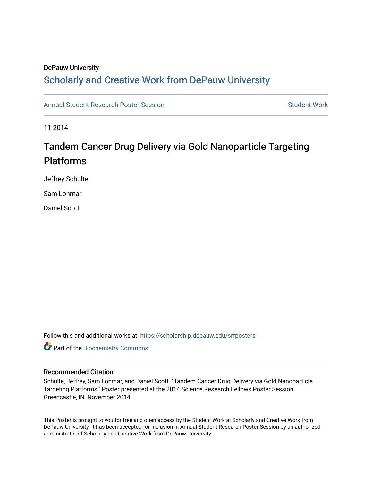## DePauw University

## Scholarly and [Creative Work from DePauw Univ](https://scholarship.depauw.edu/)ersity

[Annual Student Research Poster Session](https://scholarship.depauw.edu/srfposters) Student Work

11-2014

## Tandem Cancer Drug Delivery via Gold Nanoparticle Targeting Platforms

Jeffrey Schulte

Sam Lohmar

Daniel Scott

Follow this and additional works at: [https://scholarship.depauw.edu/srfposters](https://scholarship.depauw.edu/srfposters?utm_source=scholarship.depauw.edu%2Fsrfposters%2F7&utm_medium=PDF&utm_campaign=PDFCoverPages) 

**Part of the Biochemistry Commons** 

### Recommended Citation

Schulte, Jeffrey, Sam Lohmar, and Daniel Scott. "Tandem Cancer Drug Delivery via Gold Nanoparticle Targeting Platforms." Poster presented at the 2014 Science Research Fellows Poster Session, Greencastle, IN, November 2014.

This Poster is brought to you for free and open access by the Student Work at Scholarly and Creative Work from DePauw University. It has been accepted for inclusion in Annual Student Research Poster Session by an authorized administrator of Scholarly and Creative Work from DePauw University.